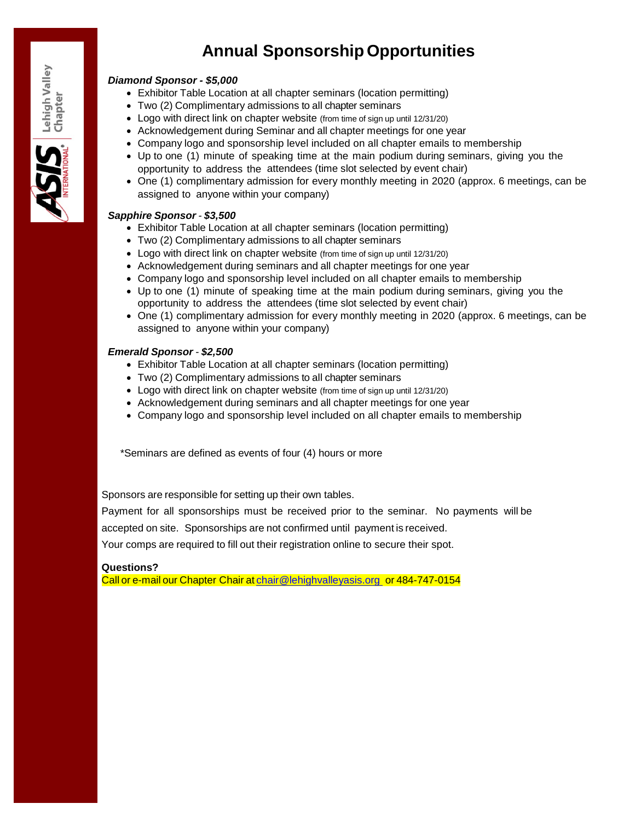# **Annual Sponsorship Opportunities**

#### *Diamond Sponsor - \$5,000*

- Exhibitor Table Location at all chapter seminars (location permitting)
- Two (2) Complimentary admissions to all chapter seminars
- Logo with direct link on chapter website (from time of sign up until 12/31/20)
- Acknowledgement during Seminar and all chapter meetings for one year
- Company logo and sponsorship level included on all chapter emails to membership
- Up to one (1) minute of speaking time at the main podium during seminars, giving you the opportunity to address the attendees (time slot selected by event chair)
- One (1) complimentary admission for every monthly meeting in 2020 (approx. 6 meetings, can be assigned to anyone within your company)

## *Sapphire Sponsor - \$3,500*

- Exhibitor Table Location at all chapter seminars (location permitting)
- Two (2) Complimentary admissions to all chapter seminars
- Logo with direct link on chapter website (from time of sign up until 12/31/20)
- Acknowledgement during seminars and all chapter meetings for one year
- Company logo and sponsorship level included on all chapter emails to membership
- Up to one (1) minute of speaking time at the main podium during seminars, giving you the opportunity to address the attendees (time slot selected by event chair)
- One (1) complimentary admission for every monthly meeting in 2020 (approx. 6 meetings, can be assigned to anyone within your company)

## *Emerald Sponsor - \$2,500*

- Exhibitor Table Location at all chapter seminars (location permitting)
- Two (2) Complimentary admissions to all chapter seminars
- Logo with direct link on chapter website (from time of sign up until 12/31/20)
- Acknowledgement during seminars and all chapter meetings for one year
- Company logo and sponsorship level included on all chapter emails to membership

\*Seminars are defined as events of four (4) hours or more

Sponsors are responsible for setting up their own tables.

Payment for all sponsorships must be received prior to the seminar. No payments will be

accepted on site. Sponsorships are not confirmed until payment is received.

Your comps are required to fill out their registration online to secure their spot.

#### **Questions?**

Call or e-mail our Chapter Chair at [chair@lehighvalleyasis.org](mailto:chair@lehighvalleyasis.org) or 484-747-0154